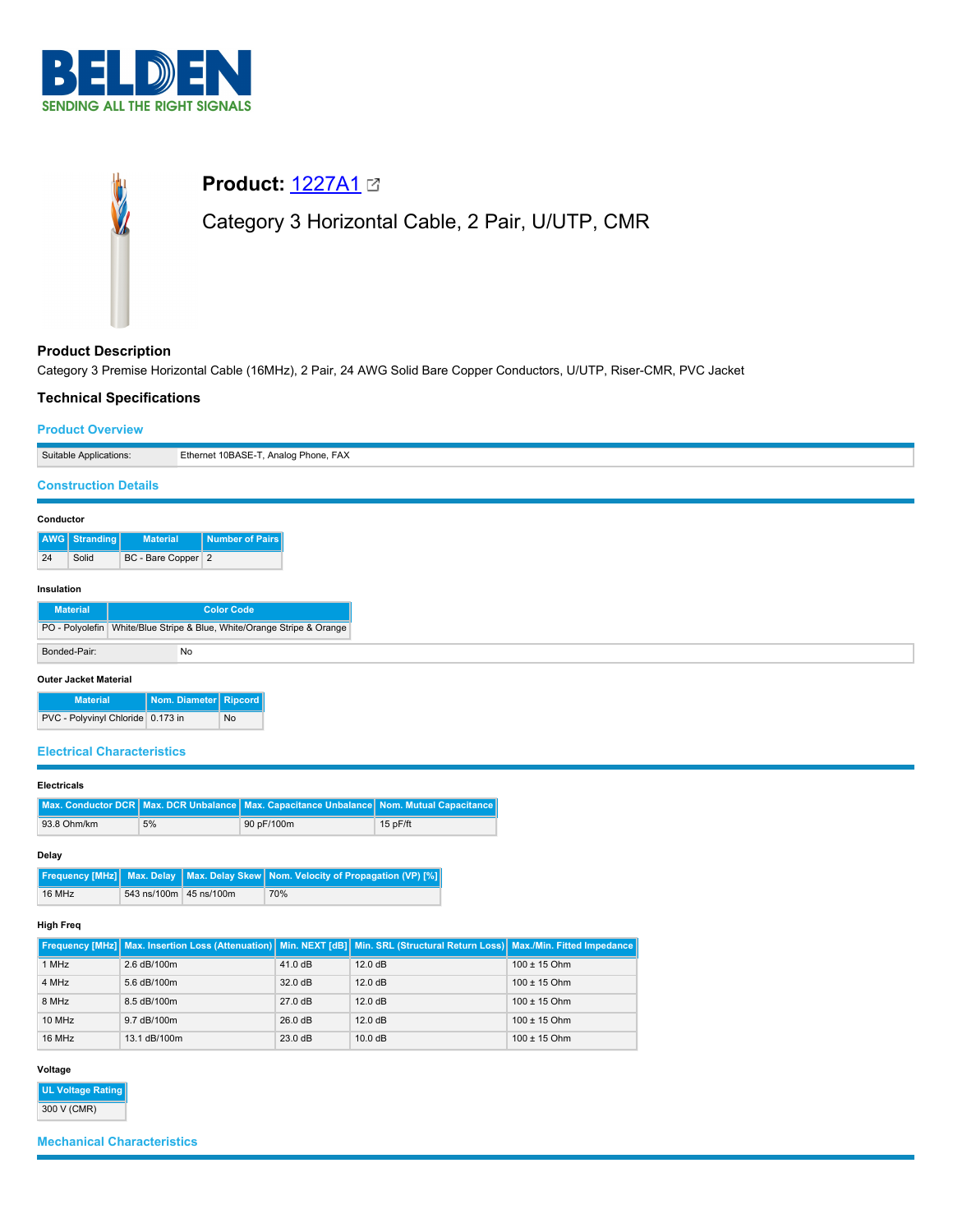



# **Product Description**

Category 3 Premise Horizontal Cable (16MHz), 2 Pair, 24 AWG Solid Bare Copper Conductors, U/UTP, Riser-CMR, PVC Jacket

## **Technical Specifications**

## **Product Overview**

| Suitable Applications:      |                              |  |                    | Ethernet 10BASE-T, Analog Phone, FAX |                   |                                                                        |
|-----------------------------|------------------------------|--|--------------------|--------------------------------------|-------------------|------------------------------------------------------------------------|
| <b>Construction Details</b> |                              |  |                    |                                      |                   |                                                                        |
| Conductor                   |                              |  |                    |                                      |                   |                                                                        |
|                             | <b>AWG</b> Stranding         |  | <b>Material</b>    |                                      | Number of Pairs   |                                                                        |
| 24                          | Solid                        |  | BC - Bare Copper 2 |                                      |                   |                                                                        |
| Insulation                  |                              |  |                    |                                      |                   |                                                                        |
|                             | <b>Material</b>              |  |                    |                                      | <b>Color Code</b> |                                                                        |
|                             |                              |  |                    |                                      |                   | PO - Polyolefin White/Blue Stripe & Blue, White/Orange Stripe & Orange |
|                             | Bonded-Pair:                 |  |                    | No                                   |                   |                                                                        |
|                             | <b>Outer Jacket Material</b> |  |                    |                                      |                   |                                                                        |

| <b>Material</b>                   | Nom. Diameter Ripcord |    |
|-----------------------------------|-----------------------|----|
| PVC - Polyvinyl Chloride 0.173 in |                       | No |

### **Electrical Characteristics**

### **Electricals**

|             |    | Max. Conductor DCR   Max. DCR Unbalance   Max. Capacitance Unbalance   Nom. Mutual Capacitance |            |  |
|-------------|----|------------------------------------------------------------------------------------------------|------------|--|
| 93.8 Ohm/km | 5% | 90 pF/100m                                                                                     | $15p$ F/ft |  |

## **Delay**

|        |                        | <b>Frequency [MHz]</b> Max. Delay   Max. Delay Skew   Nom. Velocity of Propagation (VP) [%] |  |
|--------|------------------------|---------------------------------------------------------------------------------------------|--|
| 16 MHz | 543 ns/100m 45 ns/100m | 70%                                                                                         |  |

## **High Freq**

|        |                               |         | Frequency [MHz] Max. Insertion Loss (Attenuation)   Min. NEXT [dB]   Min. SRL (Structural Return Loss)   Max./Min. Fitted Impedance |                  |
|--------|-------------------------------|---------|-------------------------------------------------------------------------------------------------------------------------------------|------------------|
| 1 MHz  | 2.6 dB/100m                   | 41.0 dB | 12.0 dB                                                                                                                             | $100 \pm 15$ Ohm |
| 4 MHz  | 5.6 dB/100m                   | 32.0 dB | 12.0 dB                                                                                                                             | $100 \pm 15$ Ohm |
| 8 MHz  | 8.5 dB/100m                   | 27.0 dB | 12.0 dB                                                                                                                             | $100 \pm 15$ Ohm |
| 10 MHz | $9.7 \text{ dB}/100 \text{m}$ | 26.0 dB | 12.0 dB                                                                                                                             | $100 \pm 15$ Ohm |
| 16 MHz | 13.1 dB/100m                  | 23.0 dB | 10.0 dB                                                                                                                             | $100 \pm 15$ Ohm |

# **Voltage**

**UL Voltage Rating** 300 V (CMR)

## **Mechanical Characteristics**